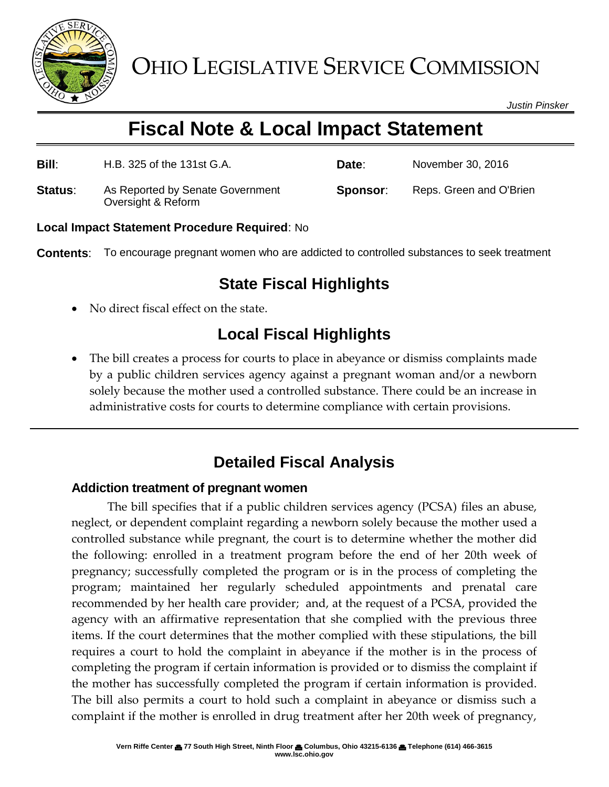

*Justin Pinsker*

# **Fiscal Note & Local Impact Statement**

**Bill**: H.B. 325 of the 131st G.A. **Date**: November 30, 2016

**Status:** As Reported by Senate Government Oversight & Reform

**Sponsor:** Reps. Green and O'Brien

**Local Impact Statement Procedure Required**: No

**Contents**: To encourage pregnant women who are addicted to controlled substances to seek treatment

#### **State Fiscal Highlights**

No direct fiscal effect on the state.

## **Local Fiscal Highlights**

 The bill creates a process for courts to place in abeyance or dismiss complaints made by a public children services agency against a pregnant woman and/or a newborn solely because the mother used a controlled substance. There could be an increase in administrative costs for courts to determine compliance with certain provisions.

## **Detailed Fiscal Analysis**

#### **Addiction treatment of pregnant women**

The bill specifies that if a public children services agency (PCSA) files an abuse, neglect, or dependent complaint regarding a newborn solely because the mother used a controlled substance while pregnant, the court is to determine whether the mother did the following: enrolled in a treatment program before the end of her 20th week of pregnancy; successfully completed the program or is in the process of completing the program; maintained her regularly scheduled appointments and prenatal care recommended by her health care provider; and, at the request of a PCSA, provided the agency with an affirmative representation that she complied with the previous three items. If the court determines that the mother complied with these stipulations, the bill requires a court to hold the complaint in abeyance if the mother is in the process of completing the program if certain information is provided or to dismiss the complaint if the mother has successfully completed the program if certain information is provided. The bill also permits a court to hold such a complaint in abeyance or dismiss such a complaint if the mother is enrolled in drug treatment after her 20th week of pregnancy,